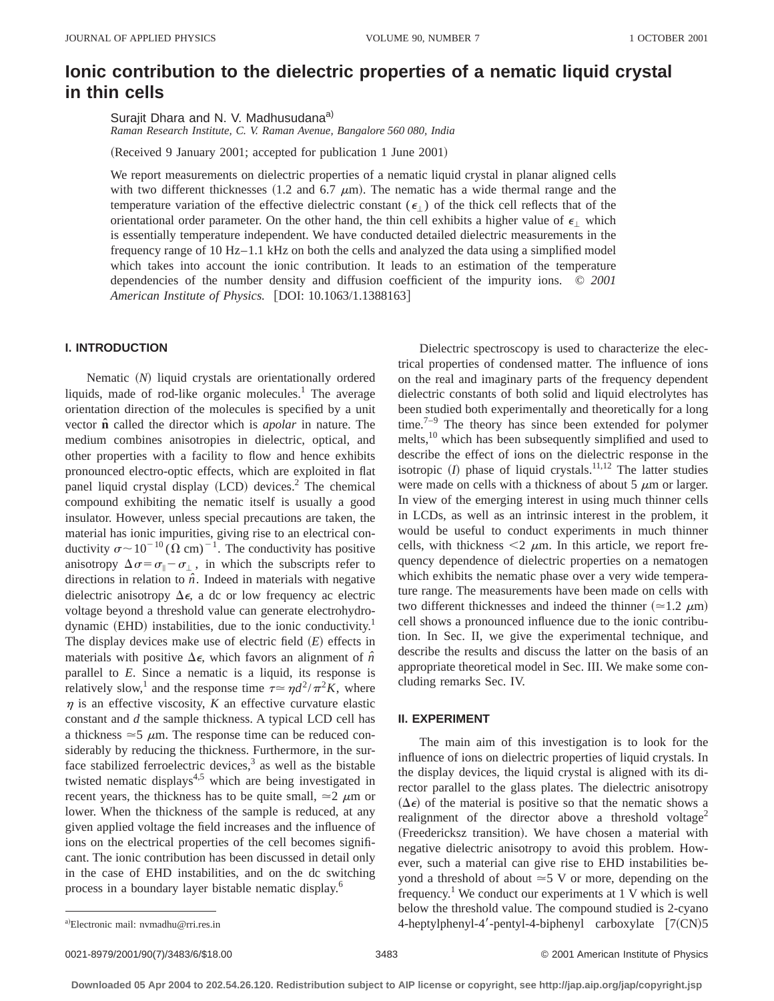# **Ionic contribution to the dielectric properties of a nematic liquid crystal in thin cells**

Surajit Dhara and N. V. Madhusudana<sup>a)</sup>

*Raman Research Institute, C. V. Raman Avenue, Bangalore 560 080, India*

(Received 9 January 2001; accepted for publication 1 June 2001)

We report measurements on dielectric properties of a nematic liquid crystal in planar aligned cells with two different thicknesses (1.2 and 6.7  $\mu$ m). The nematic has a wide thermal range and the temperature variation of the effective dielectric constant  $(\epsilon_1)$  of the thick cell reflects that of the orientational order parameter. On the other hand, the thin cell exhibits a higher value of  $\epsilon_1$  which is essentially temperature independent. We have conducted detailed dielectric measurements in the frequency range of 10 Hz–1.1 kHz on both the cells and analyzed the data using a simplified model which takes into account the ionic contribution. It leads to an estimation of the temperature dependencies of the number density and diffusion coefficient of the impurity ions. © *2001 American Institute of Physics.* [DOI: 10.1063/1.1388163]

## **I. INTRODUCTION**

Nematic (N) liquid crystals are orientationally ordered liquids, made of rod-like organic molecules. $<sup>1</sup>$  The average</sup> orientation direction of the molecules is specified by a unit vector **nˆ** called the director which is *apolar* in nature. The medium combines anisotropies in dielectric, optical, and other properties with a facility to flow and hence exhibits pronounced electro-optic effects, which are exploited in flat panel liquid crystal display  $(LCD)$  devices.<sup>2</sup> The chemical compound exhibiting the nematic itself is usually a good insulator. However, unless special precautions are taken, the material has ionic impurities, giving rise to an electrical conductivity  $\sigma \sim 10^{-10} (\Omega \text{ cm})^{-1}$ . The conductivity has positive anisotropy  $\Delta \sigma = \sigma_{\parallel} - \sigma_{\perp}$ , in which the subscripts refer to directions in relation to  $\hat{n}$ . Indeed in materials with negative dielectric anisotropy  $\Delta \epsilon$ , a dc or low frequency ac electric voltage beyond a threshold value can generate electrohydrodynamic  $(EHD)$  instabilities, due to the ionic conductivity.<sup>1</sup> The display devices make use of electric field  $(E)$  effects in materials with positive  $\Delta \epsilon$ , which favors an alignment of  $\hat{n}$ parallel to *E*. Since a nematic is a liquid, its response is relatively slow,<sup>1</sup> and the response time  $\tau \approx \eta d^2/\pi^2 K$ , where  $\eta$  is an effective viscosity, *K* an effective curvature elastic constant and *d* the sample thickness. A typical LCD cell has a thickness  $\approx$  5  $\mu$ m. The response time can be reduced considerably by reducing the thickness. Furthermore, in the surface stabilized ferroelectric devices, $3$  as well as the bistable twisted nematic displays<sup>4,5</sup> which are being investigated in recent years, the thickness has to be quite small,  $\approx$  2  $\mu$ m or lower. When the thickness of the sample is reduced, at any given applied voltage the field increases and the influence of ions on the electrical properties of the cell becomes significant. The ionic contribution has been discussed in detail only in the case of EHD instabilities, and on the dc switching process in a boundary layer bistable nematic display.6

Dielectric spectroscopy is used to characterize the electrical properties of condensed matter. The influence of ions on the real and imaginary parts of the frequency dependent dielectric constants of both solid and liquid electrolytes has been studied both experimentally and theoretically for a long time.<sup>7–9</sup> The theory has since been extended for polymer melts,<sup>10</sup> which has been subsequently simplified and used to describe the effect of ions on the dielectric response in the isotropic  $(I)$  phase of liquid crystals.<sup>11,12</sup> The latter studies were made on cells with a thickness of about 5  $\mu$ m or larger. In view of the emerging interest in using much thinner cells in LCDs, as well as an intrinsic interest in the problem, it would be useful to conduct experiments in much thinner cells, with thickness  $\leq 2 \mu m$ . In this article, we report frequency dependence of dielectric properties on a nematogen which exhibits the nematic phase over a very wide temperature range. The measurements have been made on cells with two different thicknesses and indeed the thinner  $(\approx 1.2 \mu m)$ cell shows a pronounced influence due to the ionic contribution. In Sec. II, we give the experimental technique, and describe the results and discuss the latter on the basis of an appropriate theoretical model in Sec. III. We make some concluding remarks Sec. IV.

### **II. EXPERIMENT**

The main aim of this investigation is to look for the influence of ions on dielectric properties of liquid crystals. In the display devices, the liquid crystal is aligned with its director parallel to the glass plates. The dielectric anisotropy  $(\Delta \epsilon)$  of the material is positive so that the nematic shows a realignment of the director above a threshold voltage<sup>2</sup> (Freedericksz transition). We have chosen a material with negative dielectric anisotropy to avoid this problem. However, such a material can give rise to EHD instabilities beyond a threshold of about  $\approx$  5 V or more, depending on the frequency.<sup>1</sup> We conduct our experiments at  $1 \text{ V}$  which is well below the threshold value. The compound studied is 2-cyano 4-heptylphenyl-4'-pentyl-4-biphenyl carboxylate  $[7(CN)5]$ 

a)Electronic mail: nvmadhu@rri.res.in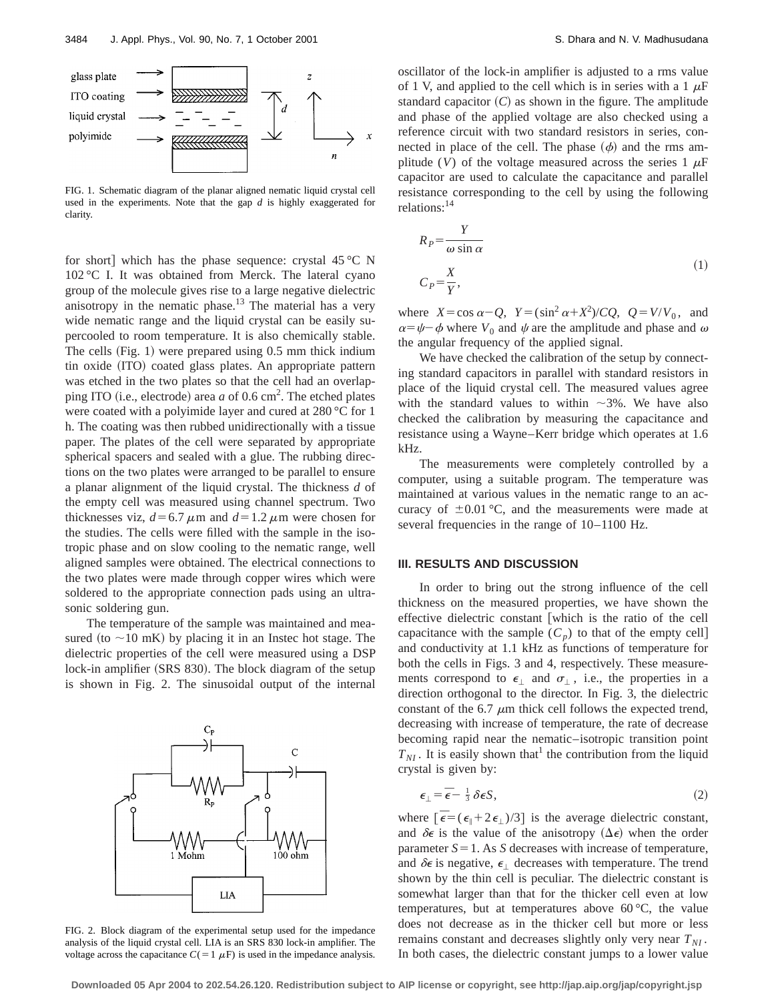

FIG. 1. Schematic diagram of the planar aligned nematic liquid crystal cell used in the experiments. Note that the gap *d* is highly exaggerated for clarity.

for short] which has the phase sequence: crystal  $45^{\circ}$ C N 102 °C I. It was obtained from Merck. The lateral cyano group of the molecule gives rise to a large negative dielectric anisotropy in the nematic phase.<sup>13</sup> The material has a very wide nematic range and the liquid crystal can be easily supercooled to room temperature. It is also chemically stable. The cells  $(Fig. 1)$  were prepared using 0.5 mm thick indium tin oxide (ITO) coated glass plates. An appropriate pattern was etched in the two plates so that the cell had an overlapping ITO (i.e., electrode) area  $a$  of 0.6 cm<sup>2</sup>. The etched plates were coated with a polyimide layer and cured at 280 °C for 1 h. The coating was then rubbed unidirectionally with a tissue paper. The plates of the cell were separated by appropriate spherical spacers and sealed with a glue. The rubbing directions on the two plates were arranged to be parallel to ensure a planar alignment of the liquid crystal. The thickness *d* of the empty cell was measured using channel spectrum. Two thicknesses viz,  $d=6.7 \mu m$  and  $d=1.2 \mu m$  were chosen for the studies. The cells were filled with the sample in the isotropic phase and on slow cooling to the nematic range, well aligned samples were obtained. The electrical connections to the two plates were made through copper wires which were soldered to the appropriate connection pads using an ultrasonic soldering gun.

The temperature of the sample was maintained and measured (to  $\sim$ 10 mK) by placing it in an Instec hot stage. The dielectric properties of the cell were measured using a DSP lock-in amplifier (SRS 830). The block diagram of the setup is shown in Fig. 2. The sinusoidal output of the internal



FIG. 2. Block diagram of the experimental setup used for the impedance analysis of the liquid crystal cell. LIA is an SRS 830 lock-in amplifier. The voltage across the capacitance  $C(=1 \mu F)$  is used in the impedance analysis.

oscillator of the lock-in amplifier is adjusted to a rms value of 1 V, and applied to the cell which is in series with a 1  $\mu$ F standard capacitor  $(C)$  as shown in the figure. The amplitude and phase of the applied voltage are also checked using a reference circuit with two standard resistors in series, connected in place of the cell. The phase  $(\phi)$  and the rms amplitude (*V*) of the voltage measured across the series  $1 \mu$ F capacitor are used to calculate the capacitance and parallel resistance corresponding to the cell by using the following relations:14

$$
R_P = \frac{Y}{\omega \sin \alpha}
$$
  
\n
$$
C_P = \frac{X}{Y},
$$
\n(1)

where  $X = \cos \alpha - Q$ ,  $Y = (\sin^2 \alpha + X^2)/CQ$ ,  $Q = V/V_0$ , and  $\alpha = \psi - \phi$  where  $V_0$  and  $\psi$  are the amplitude and phase and  $\omega$ the angular frequency of the applied signal.

We have checked the calibration of the setup by connecting standard capacitors in parallel with standard resistors in place of the liquid crystal cell. The measured values agree with the standard values to within  $\sim$ 3%. We have also checked the calibration by measuring the capacitance and resistance using a Wayne–Kerr bridge which operates at 1.6 kHz.

The measurements were completely controlled by a computer, using a suitable program. The temperature was maintained at various values in the nematic range to an accuracy of  $\pm 0.01$  °C, and the measurements were made at several frequencies in the range of 10–1100 Hz.

## **III. RESULTS AND DISCUSSION**

In order to bring out the strong influence of the cell thickness on the measured properties, we have shown the effective dielectric constant [which is the ratio of the cell capacitance with the sample  $(C_p)$  to that of the empty cell] and conductivity at 1.1 kHz as functions of temperature for both the cells in Figs. 3 and 4, respectively. These measurements correspond to  $\epsilon_{\perp}$  and  $\sigma_{\perp}$ , i.e., the properties in a direction orthogonal to the director. In Fig. 3, the dielectric constant of the 6.7  $\mu$ m thick cell follows the expected trend, decreasing with increase of temperature, the rate of decrease becoming rapid near the nematic–isotropic transition point  $T_{NI}$ . It is easily shown that<sup>1</sup> the contribution from the liquid crystal is given by:

$$
\epsilon_{\perp} = \bar{\epsilon} - \frac{1}{3} \delta \epsilon S, \tag{2}
$$

where  $\left[\overline{\epsilon} = (\epsilon_{\parallel} + 2\epsilon_{\perp})/3\right]$  is the average dielectric constant, and  $\delta \epsilon$  is the value of the anisotropy  $(\Delta \epsilon)$  when the order parameter  $S = 1$ . As *S* decreases with increase of temperature, and  $\delta \epsilon$  is negative,  $\epsilon_1$  decreases with temperature. The trend shown by the thin cell is peculiar. The dielectric constant is somewhat larger than that for the thicker cell even at low temperatures, but at temperatures above  $60^{\circ}$ C, the value does not decrease as in the thicker cell but more or less remains constant and decreases slightly only very near  $T_{NI}$ . In both cases, the dielectric constant jumps to a lower value

**Downloaded 05 Apr 2004 to 202.54.26.120. Redistribution subject to AIP license or copyright, see http://jap.aip.org/jap/copyright.jsp**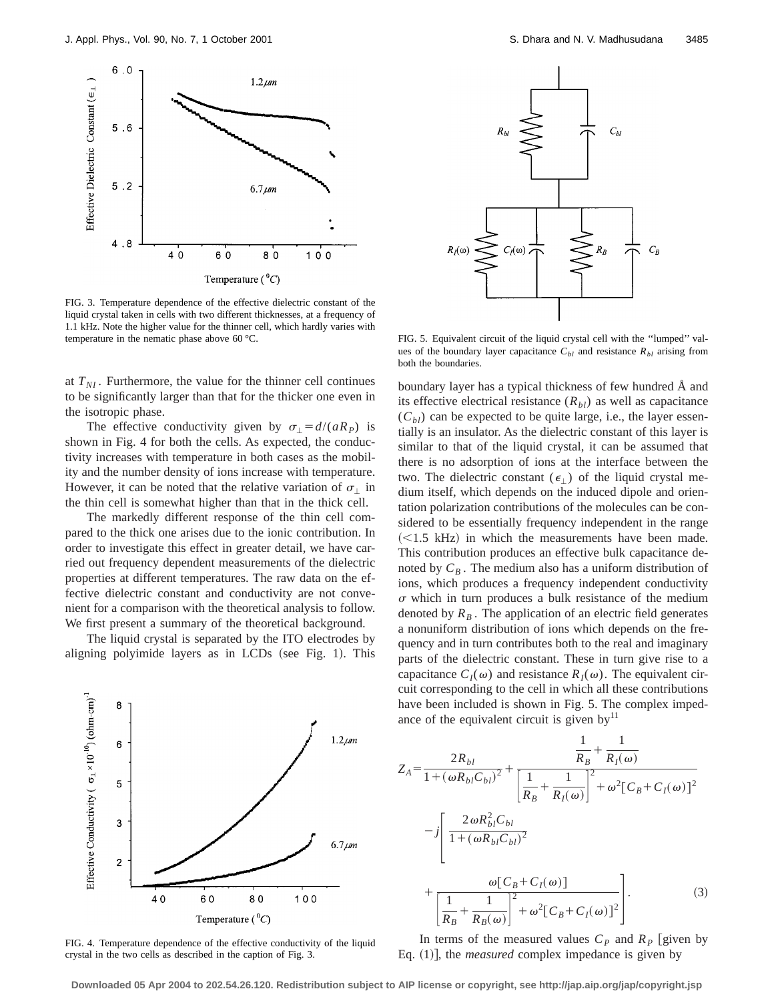

FIG. 3. Temperature dependence of the effective dielectric constant of the liquid crystal taken in cells with two different thicknesses, at a frequency of 1.1 kHz. Note the higher value for the thinner cell, which hardly varies with temperature in the nematic phase above 60 °C.

at  $T_{NI}$ . Furthermore, the value for the thinner cell continues to be significantly larger than that for the thicker one even in the isotropic phase.

The effective conductivity given by  $\sigma_{\perp} = d/(aR_P)$  is shown in Fig. 4 for both the cells. As expected, the conductivity increases with temperature in both cases as the mobility and the number density of ions increase with temperature. However, it can be noted that the relative variation of  $\sigma_{\perp}$  in the thin cell is somewhat higher than that in the thick cell.

The markedly different response of the thin cell compared to the thick one arises due to the ionic contribution. In order to investigate this effect in greater detail, we have carried out frequency dependent measurements of the dielectric properties at different temperatures. The raw data on the effective dielectric constant and conductivity are not convenient for a comparison with the theoretical analysis to follow. We first present a summary of the theoretical background.

The liquid crystal is separated by the ITO electrodes by aligning polyimide layers as in LCDs (see Fig. 1). This



FIG. 4. Temperature dependence of the effective conductivity of the liquid crystal in the two cells as described in the caption of Fig. 3.



FIG. 5. Equivalent circuit of the liquid crystal cell with the ''lumped'' values of the boundary layer capacitance  $C_{bl}$  and resistance  $R_{bl}$  arising from both the boundaries.

boundary layer has a typical thickness of few hundred Å and its effective electrical resistance  $(R<sub>bl</sub>)$  as well as capacitance  $(C_{bl})$  can be expected to be quite large, i.e., the layer essentially is an insulator. As the dielectric constant of this layer is similar to that of the liquid crystal, it can be assumed that there is no adsorption of ions at the interface between the two. The dielectric constant ( $\epsilon_{\perp}$ ) of the liquid crystal medium itself, which depends on the induced dipole and orientation polarization contributions of the molecules can be considered to be essentially frequency independent in the range  $(<1.5$  kHz) in which the measurements have been made. This contribution produces an effective bulk capacitance denoted by  $C_B$ . The medium also has a uniform distribution of ions, which produces a frequency independent conductivity  $\sigma$  which in turn produces a bulk resistance of the medium denoted by  $R_B$ . The application of an electric field generates a nonuniform distribution of ions which depends on the frequency and in turn contributes both to the real and imaginary parts of the dielectric constant. These in turn give rise to a capacitance  $C_I(\omega)$  and resistance  $R_I(\omega)$ . The equivalent circuit corresponding to the cell in which all these contributions have been included is shown in Fig. 5. The complex impedance of the equivalent circuit is given by $\mathbf{I}^{\mathrm{I}}$ 

$$
Z_{A} = \frac{2R_{bl}}{1 + (\omega R_{bl}C_{bl})^{2}} + \frac{\frac{1}{R_{B}} + \frac{1}{R_{I}(\omega)}}{\left[\frac{1}{R_{B}} + \frac{1}{R_{I}(\omega)}\right]^{2} + \omega^{2}[C_{B} + C_{I}(\omega)]^{2}}
$$

$$
-j\left[\frac{2\omega R_{bl}^{2}C_{bl}}{1 + (\omega R_{bl}C_{bl})^{2}} + \frac{\omega[C_{B} + C_{I}(\omega)]}{\left[\frac{1}{R_{B}} + \frac{1}{R_{B}(\omega)}\right]^{2} + \omega^{2}[C_{B} + C_{I}(\omega)]^{2}}\right].
$$
(3)

In terms of the measured values  $C_p$  and  $R_p$  [given by Eq. (1)], the *measured* complex impedance is given by

**Downloaded 05 Apr 2004 to 202.54.26.120. Redistribution subject to AIP license or copyright, see http://jap.aip.org/jap/copyright.jsp**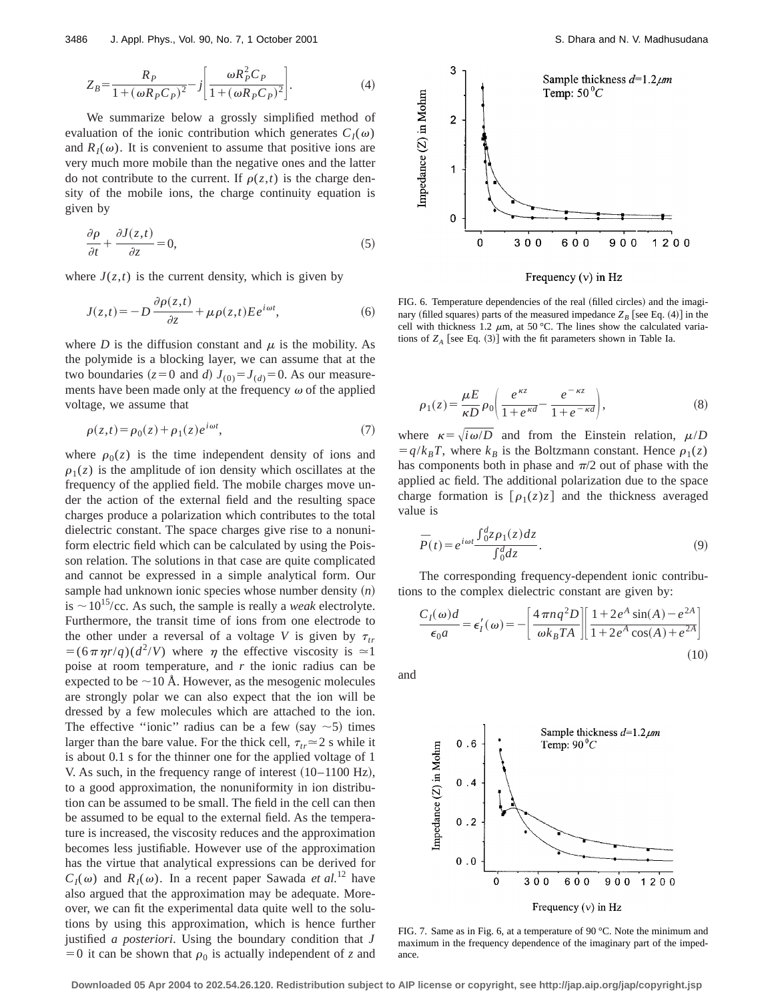$$
Z_B = \frac{R_P}{1 + (\omega R_P C_P)^2} - j \left[ \frac{\omega R_P^2 C_P}{1 + (\omega R_P C_P)^2} \right].
$$
 (4)

We summarize below a grossly simplified method of evaluation of the ionic contribution which generates  $C_I(\omega)$ and  $R_I(\omega)$ . It is convenient to assume that positive ions are very much more mobile than the negative ones and the latter do not contribute to the current. If  $\rho(z,t)$  is the charge density of the mobile ions, the charge continuity equation is given by

$$
\frac{\partial \rho}{\partial t} + \frac{\partial J(z, t)}{\partial z} = 0,\tag{5}
$$

where  $J(z,t)$  is the current density, which is given by

$$
J(z,t) = -D \frac{\partial \rho(z,t)}{\partial z} + \mu \rho(z,t) E e^{i\omega t}, \tag{6}
$$

where *D* is the diffusion constant and  $\mu$  is the mobility. As the polymide is a blocking layer, we can assume that at the two boundaries ( $z=0$  and *d*)  $J_{(0)}=J_{(d)}=0$ . As our measurements have been made only at the frequency  $\omega$  of the applied voltage, we assume that

$$
\rho(z,t) = \rho_0(z) + \rho_1(z)e^{i\omega t},\tag{7}
$$

where  $\rho_0(z)$  is the time independent density of ions and  $\rho_1(z)$  is the amplitude of ion density which oscillates at the frequency of the applied field. The mobile charges move under the action of the external field and the resulting space charges produce a polarization which contributes to the total dielectric constant. The space charges give rise to a nonuniform electric field which can be calculated by using the Poisson relation. The solutions in that case are quite complicated and cannot be expressed in a simple analytical form. Our sample had unknown ionic species whose number density  $(n)$ is  $\sim$  10<sup>15</sup>/cc. As such, the sample is really a *weak* electrolyte. Furthermore, the transit time of ions from one electrode to the other under a reversal of a voltage *V* is given by  $\tau_{tr}$  $=$   $(6 \pi \eta r/q)(d^2/V)$  where  $\eta$  the effective viscosity is  $\approx$  1 poise at room temperature, and *r* the ionic radius can be expected to be  $\sim$ 10 Å. However, as the mesogenic molecules are strongly polar we can also expect that the ion will be dressed by a few molecules which are attached to the ion. The effective "ionic" radius can be a few (say  $\sim$  5) times larger than the bare value. For the thick cell,  $\tau_{tr} \approx 2$  s while it is about 0.1 s for the thinner one for the applied voltage of 1 V. As such, in the frequency range of interest  $(10-1100 \text{ Hz})$ , to a good approximation, the nonuniformity in ion distribution can be assumed to be small. The field in the cell can then be assumed to be equal to the external field. As the temperature is increased, the viscosity reduces and the approximation becomes less justifiable. However use of the approximation has the virtue that analytical expressions can be derived for  $C_I(\omega)$  and  $R_I(\omega)$ . In a recent paper Sawada *et al.*<sup>12</sup> have also argued that the approximation may be adequate. Moreover, we can fit the experimental data quite well to the solutions by using this approximation, which is hence further justified *a posteriori*. Using the boundary condition that *J*  $=0$  it can be shown that  $\rho_0$  is actually independent of *z* and



Frequency  $(v)$  in Hz

FIG. 6. Temperature dependencies of the real (filled circles) and the imaginary (filled squares) parts of the measured impedance  $Z_B$  [see Eq. (4)] in the cell with thickness 1.2  $\mu$ m, at 50 °C. The lines show the calculated variations of  $Z_A$  [see Eq. (3)] with the fit parameters shown in Table Ia.

$$
\rho_1(z) = \frac{\mu E}{\kappa D} \rho_0 \left( \frac{e^{\kappa z}}{1 + e^{\kappa d}} - \frac{e^{-\kappa z}}{1 + e^{-\kappa d}} \right),\tag{8}
$$

where  $\kappa = \sqrt{i\omega/D}$  and from the Einstein relation,  $\mu/D$  $= q/k_B T$ , where  $k_B$  is the Boltzmann constant. Hence  $\rho_1(z)$ has components both in phase and  $\pi/2$  out of phase with the applied ac field. The additional polarization due to the space charge formation is  $\lceil \rho_1(z)z \rceil$  and the thickness averaged value is

$$
\overline{P}(t) = e^{i\omega t} \frac{\int_0^d z \rho_1(z) dz}{\int_0^d dz}.
$$
\n(9)

The corresponding frequency-dependent ionic contributions to the complex dielectric constant are given by:

$$
\frac{C_I(\omega)d}{\epsilon_0 a} = \epsilon'_I(\omega) = -\left[\frac{4\pi n q^2 D}{\omega k_B T A}\right] \left[\frac{1 + 2e^A \sin(A) - e^{2A}}{1 + 2e^A \cos(A) + e^{2A}}\right]
$$
\n(10)

and



FIG. 7. Same as in Fig. 6, at a temperature of 90 °C. Note the minimum and maximum in the frequency dependence of the imaginary part of the impedance.

**Downloaded 05 Apr 2004 to 202.54.26.120. Redistribution subject to AIP license or copyright, see http://jap.aip.org/jap/copyright.jsp**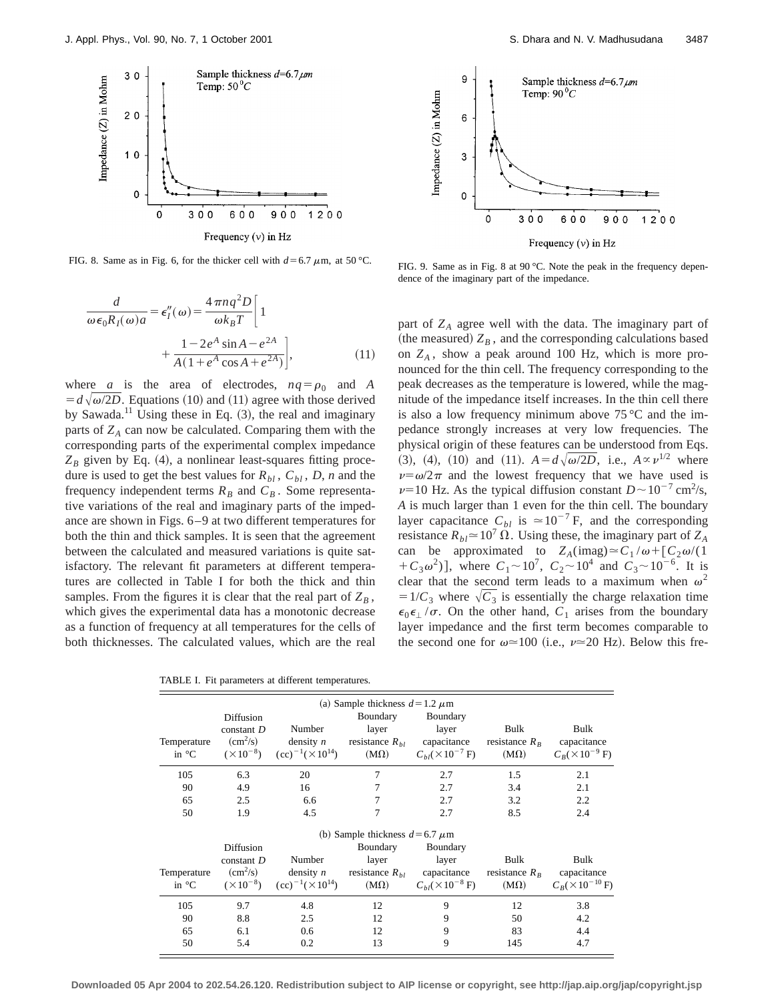

FIG. 8. Same as in Fig. 6, for the thicker cell with  $d=6.7 \mu$ m, at 50 °C. FIG. 9. Same as in Fig. 8 at 90 °C. Note the peak in the frequency depen-

$$
\frac{d}{\omega \epsilon_0 R_I(\omega)a} = \epsilon_I''(\omega) = \frac{4 \pi n q^2 D}{\omega k_B T} \left[ 1 + \frac{1 - 2e^A \sin A - e^{2A}}{A(1 + e^A \cos A + e^{2A})} \right],
$$
\n(11)

where *a* is the area of electrodes,  $nq = \rho_0$  and *A*  $= d\sqrt{\omega}/2D$ . Equations (10) and (11) agree with those derived by Sawada.<sup>11</sup> Using these in Eq.  $(3)$ , the real and imaginary parts of  $Z_A$  can now be calculated. Comparing them with the corresponding parts of the experimental complex impedance  $Z_B$  given by Eq. (4), a nonlinear least-squares fitting procedure is used to get the best values for  $R_{bl}$ ,  $C_{bl}$ ,  $D$ ,  $n$  and the frequency independent terms  $R_B$  and  $C_B$ . Some representative variations of the real and imaginary parts of the impedance are shown in Figs. 6–9 at two different temperatures for both the thin and thick samples. It is seen that the agreement between the calculated and measured variations is quite satisfactory. The relevant fit parameters at different temperatures are collected in Table I for both the thick and thin samples. From the figures it is clear that the real part of  $Z_B$ , which gives the experimental data has a monotonic decrease as a function of frequency at all temperatures for the cells of both thicknesses. The calculated values, which are the real

TABLE I. Fit parameters at different temperatures.



 $\circ$ 300 600 900 1200 Frequency  $(v)$  in Hz

dence of the imaginary part of the impedance.

Impedance (Z) in Mohm

 $\mathbf 0$ 

part of  $Z_A$  agree well with the data. The imaginary part of (the measured)  $Z_B$ , and the corresponding calculations based on  $Z_A$ , show a peak around 100 Hz, which is more pronounced for the thin cell. The frequency corresponding to the peak decreases as the temperature is lowered, while the magnitude of the impedance itself increases. In the thin cell there is also a low frequency minimum above  $75^{\circ}$ C and the impedance strongly increases at very low frequencies. The physical origin of these features can be understood from Eqs. (3), (4), (10) and (11).  $A = d\sqrt{\omega/2D}$ , i.e.,  $A \propto \nu^{1/2}$  where  $\nu = \omega/2\pi$  and the lowest frequency that we have used is  $\nu=10$  Hz. As the typical diffusion constant  $D \sim 10^{-7}$  cm<sup>2</sup>/s, *A* is much larger than 1 even for the thin cell. The boundary layer capacitance  $C_{bl}$  is  $\simeq 10^{-7}$  F, and the corresponding resistance  $R_{bl} \approx 10^7 \Omega$ . Using these, the imaginary part of  $Z_A$ can be approximated to  $Z_A(\text{imag}) \simeq C_1/\omega + [C_2\omega/(1$  $+C_3\omega^2$ ], where  $C_1 \sim 10^7$ ,  $C_2 \sim 10^4$  and  $C_3 \sim 10^{-6}$ . It is clear that the second term leads to a maximum when  $\omega^2$  $=1/C_3$  where  $\sqrt{C_3}$  is essentially the charge relaxation time  $\epsilon_0 \epsilon_1 / \sigma$ . On the other hand,  $C_1$  arises from the boundary layer impedance and the first term becomes comparable to the second one for  $\omega \approx 100$  (i.e.,  $\nu \approx 20$  Hz). Below this fre-

|                                    | (a) Sample thickness $d=1.2 \mu m$ |                              |                     |                                    |                 |                              |
|------------------------------------|------------------------------------|------------------------------|---------------------|------------------------------------|-----------------|------------------------------|
|                                    | Diffusion                          |                              | Boundary            | Boundary                           |                 |                              |
|                                    | $constant$ $D$                     | Number                       | layer               | layer                              | Bulk            | Bulk                         |
| Temperature                        | $\rm (cm^2/s)$                     | density $n$                  | resistance $R_{hl}$ | capacitance                        | resistance $Rp$ | capacitance                  |
| in $\mathrm{C}$                    | $(\times 10^{-8})$                 | $(cc)^{-1}(\times 10^{14})$  | $(M\Omega)$         | $C_{hl}(\times 10^{-7} \text{ F})$ | $(M\Omega)$     | $C_R$ (×10 <sup>-9</sup> F)  |
| 105                                | 6.3                                | 20                           | 7                   | 2.7                                | 1.5             | 2.1                          |
| 90                                 | 4.9                                | 16                           |                     | 2.7                                | 3.4             | 2.1                          |
| 65                                 | 2.5                                | 6.6                          |                     | 2.7                                | 3.2             | 2.2                          |
| 50                                 | 1.9                                | 4.5                          | 7                   | 2.7                                | 8.5             | 2.4                          |
| (b) Sample thickness $d=6.7 \mu m$ |                                    |                              |                     |                                    |                 |                              |
|                                    | Diffusion                          |                              | Boundary            | Boundary                           |                 |                              |
|                                    | constant $D$                       | Number                       | layer               | layer                              | Bulk            | Bulk                         |
| Temperature                        | $\rm (cm^2/s)$                     | density $n$                  | resistance $R_{hl}$ | capacitance                        | resistance $RB$ | capacitance                  |
| in $\mathrm{C}$                    | $(\times 10^{-8})$                 | $(cc)^{-1} (\times 10^{14})$ | $(M\Omega)$         | $C_{hl}(\times 10^{-8} \text{ F})$ | $(M\Omega)$     | $C_R$ (×10 <sup>-10</sup> F) |
| 105                                | 9.7                                | 4.8                          | 12                  | 9                                  | 12              | 3.8                          |
| 90                                 | 8.8                                | 2.5                          | 12                  | 9                                  | 50              | 4.2                          |
| 65                                 | 6.1                                | 0.6                          | 12                  | 9                                  | 83              | 4.4                          |
| 50                                 | 5.4                                | 0.2                          | 13                  | 9                                  | 145             | 4.7                          |